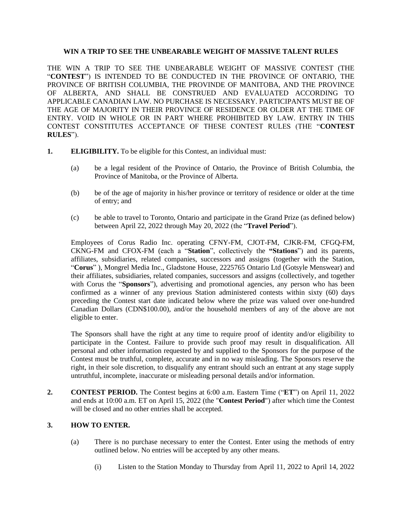## **WIN A TRIP TO SEE THE UNBEARABLE WEIGHT OF MASSIVE TALENT RULES**

THE WIN A TRIP TO SEE THE UNBEARABLE WEIGHT OF MASSIVE CONTEST (THE "**CONTEST**") IS INTENDED TO BE CONDUCTED IN THE PROVINCE OF ONTARIO, THE PROVINCE OF BRITISH COLUMBIA, THE PROVINDE OF MANITOBA, AND THE PROVINCE OF ALBERTA, AND SHALL BE CONSTRUED AND EVALUATED ACCORDING TO APPLICABLE CANADIAN LAW. NO PURCHASE IS NECESSARY. PARTICIPANTS MUST BE OF THE AGE OF MAJORITY IN THEIR PROVINCE OF RESIDENCE OR OLDER AT THE TIME OF ENTRY. VOID IN WHOLE OR IN PART WHERE PROHIBITED BY LAW. ENTRY IN THIS CONTEST CONSTITUTES ACCEPTANCE OF THESE CONTEST RULES (THE "**CONTEST RULES**").

- **1. ELIGIBILITY.** To be eligible for this Contest, an individual must:
	- (a) be a legal resident of the Province of Ontario, the Province of British Columbia, the Province of Manitoba, or the Province of Alberta.
	- (b) be of the age of majority in his/her province or territory of residence or older at the time of entry; and
	- (c) be able to travel to Toronto, Ontario and participate in the Grand Prize (as defined below) between April 22, 2022 through May 20, 2022 (the "**Travel Period**").

Employees of Corus Radio Inc. operating CFNY-FM, CJOT-FM, CJKR-FM, CFGQ-FM, CKNG-FM and CFOX-FM (each a "**Station**", collectively the **"Stations**") and its parents, affiliates, subsidiaries, related companies, successors and assigns (together with the Station, "**Corus**" ), Mongrel Media Inc., Gladstone House, 2225765 Ontario Ltd (Gotsyle Menswear) and their affiliates, subsidiaries, related companies, successors and assigns (collectively, and together with Corus the "**Sponsors**"), advertising and promotional agencies, any person who has been confirmed as a winner of any previous Station administered contests within sixty (60) days preceding the Contest start date indicated below where the prize was valued over one-hundred Canadian Dollars (CDN\$100.00), and/or the household members of any of the above are not eligible to enter.

The Sponsors shall have the right at any time to require proof of identity and/or eligibility to participate in the Contest. Failure to provide such proof may result in disqualification. All personal and other information requested by and supplied to the Sponsors for the purpose of the Contest must be truthful, complete, accurate and in no way misleading. The Sponsors reserve the right, in their sole discretion, to disqualify any entrant should such an entrant at any stage supply untruthful, incomplete, inaccurate or misleading personal details and/or information.

**2. CONTEST PERIOD.** The Contest begins at 6:00 a.m. Eastern Time ("**ET**") on April 11, 2022 and ends at 10:00 a.m. ET on April 15, 2022 (the "**Contest Period**") after which time the Contest will be closed and no other entries shall be accepted.

# **3. HOW TO ENTER.**

- (a) There is no purchase necessary to enter the Contest. Enter using the methods of entry outlined below. No entries will be accepted by any other means.
	- (i) Listen to the Station Monday to Thursday from April 11, 2022 to April 14, 2022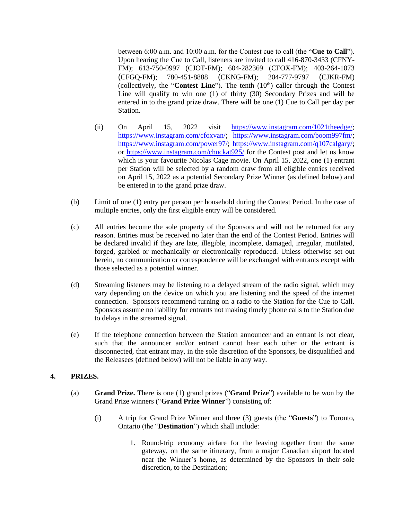between 6:00 a.m. and 10:00 a.m. for the Contest cue to call (the "**Cue to Call**"). Upon hearing the Cue to Call, listeners are invited to call 416-870-3433 (CFNY-FM); 613-750-0997 (CJOT-FM); 604-282369 (CFOX-FM); 403-264-1073 (CFGQ-FM); 780-451-8888 (CKNG-FM); 204-777-9797 (CJKR-FM) (collectively, the "**Contest Line**"). The tenth (10<sup>th</sup>) caller through the Contest Line will qualify to win one (1) of thirty (30) Secondary Prizes and will be entered in to the grand prize draw. There will be one (1) Cue to Call per day per Station.

- (ii) On April 15, 2022 visit [https://www.instagram.com/1021theedge/;](https://www.instagram.com/1021theedge/) [https://www.instagram.com/cfoxvan/;](https://www.instagram.com/cfoxvan/) [https://www.instagram.com/boom997fm/;](https://www.instagram.com/boom997fm/) [https://www.instagram.com/power97/;](https://www.instagram.com/power97/) [https://www.instagram.com/q107calgary/;](https://www.instagram.com/q107calgary/) or<https://www.instagram.com/chuckat925/> for the Contest post and let us know which is your favourite Nicolas Cage movie. On April 15, 2022, one (1) entrant per Station will be selected by a random draw from all eligible entries received on April 15, 2022 as a potential Secondary Prize Winner (as defined below) and be entered in to the grand prize draw.
- (b) Limit of one (1) entry per person per household during the Contest Period. In the case of multiple entries, only the first eligible entry will be considered.
- (c) All entries become the sole property of the Sponsors and will not be returned for any reason. Entries must be received no later than the end of the Contest Period. Entries will be declared invalid if they are late, illegible, incomplete, damaged, irregular, mutilated, forged, garbled or mechanically or electronically reproduced. Unless otherwise set out herein, no communication or correspondence will be exchanged with entrants except with those selected as a potential winner.
- (d) Streaming listeners may be listening to a delayed stream of the radio signal, which may vary depending on the device on which you are listening and the speed of the internet connection. Sponsors recommend turning on a radio to the Station for the Cue to Call. Sponsors assume no liability for entrants not making timely phone calls to the Station due to delays in the streamed signal.
- (e) If the telephone connection between the Station announcer and an entrant is not clear, such that the announcer and/or entrant cannot hear each other or the entrant is disconnected, that entrant may, in the sole discretion of the Sponsors, be disqualified and the Releasees (defined below) will not be liable in any way.

# **4. PRIZES.**

- (a) **Grand Prize.** There is one (1) grand prizes ("**Grand Prize**") available to be won by the Grand Prize winners ("**Grand Prize Winner**") consisting of:
	- (i) A trip for Grand Prize Winner and three (3) guests (the "**Guests**") to Toronto, Ontario (the "**Destination**") which shall include:
		- 1. Round-trip economy airfare for the leaving together from the same gateway, on the same itinerary, from a major Canadian airport located near the Winner's home, as determined by the Sponsors in their sole discretion, to the Destination;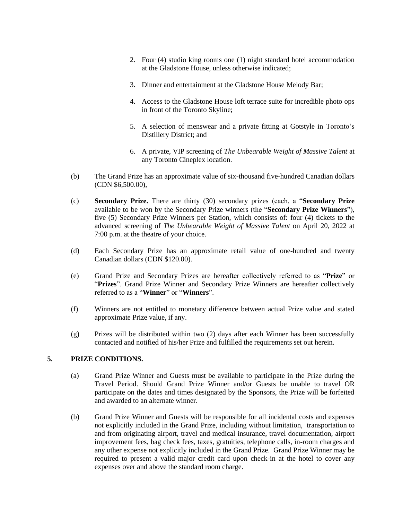- 2. Four (4) studio king rooms one (1) night standard hotel accommodation at the Gladstone House, unless otherwise indicated;
- 3. Dinner and entertainment at the Gladstone House Melody Bar;
- 4. Access to the Gladstone House loft terrace suite for incredible photo ops in front of the Toronto Skyline;
- 5. A selection of menswear and a private fitting at Gotstyle in Toronto's Distillery District; and
- 6. A private, VIP screening of *The Unbearable Weight of Massive Talent* at any Toronto Cineplex location.
- (b) The Grand Prize has an approximate value of six-thousand five-hundred Canadian dollars (CDN \$6,500.00),
- (c) **Secondary Prize.** There are thirty (30) secondary prizes (each, a "**Secondary Prize** available to be won by the Secondary Prize winners (the "**Secondary Prize Winners**"), five (5) Secondary Prize Winners per Station, which consists of: four (4) tickets to the advanced screening of *The Unbearable Weight of Massive Talent* on April 20, 2022 at 7:00 p.m. at the theatre of your choice.
- (d) Each Secondary Prize has an approximate retail value of one-hundred and twenty Canadian dollars (CDN \$120.00).
- (e) Grand Prize and Secondary Prizes are hereafter collectively referred to as "**Prize**" or "**Prizes**". Grand Prize Winner and Secondary Prize Winners are hereafter collectively referred to as a "**Winner**" or "**Winners**".
- (f) Winners are not entitled to monetary difference between actual Prize value and stated approximate Prize value, if any.
- (g) Prizes will be distributed within two (2) days after each Winner has been successfully contacted and notified of his/her Prize and fulfilled the requirements set out herein.

# **5. PRIZE CONDITIONS.**

- (a) Grand Prize Winner and Guests must be available to participate in the Prize during the Travel Period. Should Grand Prize Winner and/or Guests be unable to travel OR participate on the dates and times designated by the Sponsors, the Prize will be forfeited and awarded to an alternate winner.
- (b) Grand Prize Winner and Guests will be responsible for all incidental costs and expenses not explicitly included in the Grand Prize, including without limitation, transportation to and from originating airport, travel and medical insurance, travel documentation, airport improvement fees, bag check fees, taxes, gratuities, telephone calls, in-room charges and any other expense not explicitly included in the Grand Prize. Grand Prize Winner may be required to present a valid major credit card upon check-in at the hotel to cover any expenses over and above the standard room charge.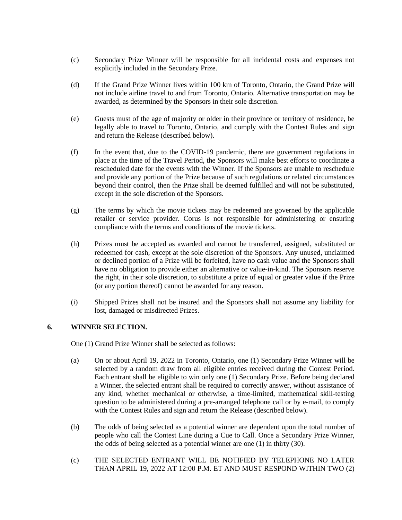- (c) Secondary Prize Winner will be responsible for all incidental costs and expenses not explicitly included in the Secondary Prize.
- (d) If the Grand Prize Winner lives within 100 km of Toronto, Ontario, the Grand Prize will not include airline travel to and from Toronto, Ontario. Alternative transportation may be awarded, as determined by the Sponsors in their sole discretion.
- (e) Guests must of the age of majority or older in their province or territory of residence, be legally able to travel to Toronto, Ontario, and comply with the Contest Rules and sign and return the Release (described below).
- (f) In the event that, due to the COVID-19 pandemic, there are government regulations in place at the time of the Travel Period, the Sponsors will make best efforts to coordinate a rescheduled date for the events with the Winner. If the Sponsors are unable to reschedule and provide any portion of the Prize because of such regulations or related circumstances beyond their control, then the Prize shall be deemed fulfilled and will not be substituted, except in the sole discretion of the Sponsors.
- (g) The terms by which the movie tickets may be redeemed are governed by the applicable retailer or service provider. Corus is not responsible for administering or ensuring compliance with the terms and conditions of the movie tickets.
- (h) Prizes must be accepted as awarded and cannot be transferred, assigned, substituted or redeemed for cash, except at the sole discretion of the Sponsors. Any unused, unclaimed or declined portion of a Prize will be forfeited, have no cash value and the Sponsors shall have no obligation to provide either an alternative or value-in-kind. The Sponsors reserve the right, in their sole discretion, to substitute a prize of equal or greater value if the Prize (or any portion thereof) cannot be awarded for any reason.
- (i) Shipped Prizes shall not be insured and the Sponsors shall not assume any liability for lost, damaged or misdirected Prizes.

# **6. WINNER SELECTION.**

One (1) Grand Prize Winner shall be selected as follows:

- (a) On or about April 19, 2022 in Toronto, Ontario, one (1) Secondary Prize Winner will be selected by a random draw from all eligible entries received during the Contest Period. Each entrant shall be eligible to win only one (1) Secondary Prize. Before being declared a Winner, the selected entrant shall be required to correctly answer, without assistance of any kind, whether mechanical or otherwise, a time-limited, mathematical skill-testing question to be administered during a pre-arranged telephone call or by e-mail, to comply with the Contest Rules and sign and return the Release (described below).
- (b) The odds of being selected as a potential winner are dependent upon the total number of people who call the Contest Line during a Cue to Call. Once a Secondary Prize Winner, the odds of being selected as a potential winner are one (1) in thirty (30).
- (c) THE SELECTED ENTRANT WILL BE NOTIFIED BY TELEPHONE NO LATER THAN APRIL 19, 2022 AT 12:00 P.M. ET AND MUST RESPOND WITHIN TWO (2)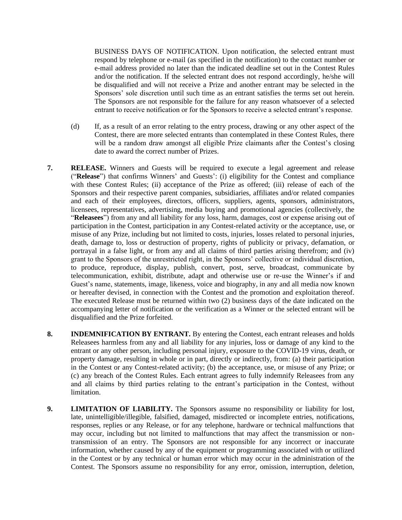BUSINESS DAYS OF NOTIFICATION. Upon notification, the selected entrant must respond by telephone or e-mail (as specified in the notification) to the contact number or e-mail address provided no later than the indicated deadline set out in the Contest Rules and/or the notification. If the selected entrant does not respond accordingly, he/she will be disqualified and will not receive a Prize and another entrant may be selected in the Sponsors' sole discretion until such time as an entrant satisfies the terms set out herein. The Sponsors are not responsible for the failure for any reason whatsoever of a selected entrant to receive notification or for the Sponsors to receive a selected entrant's response.

- (d) If, as a result of an error relating to the entry process, drawing or any other aspect of the Contest, there are more selected entrants than contemplated in these Contest Rules, there will be a random draw amongst all eligible Prize claimants after the Contest's closing date to award the correct number of Prizes.
- **7. RELEASE.** Winners and Guests will be required to execute a legal agreement and release ("**Release**") that confirms Winners' and Guests': (i) eligibility for the Contest and compliance with these Contest Rules; (ii) acceptance of the Prize as offered; (iii) release of each of the Sponsors and their respective parent companies, subsidiaries, affiliates and/or related companies and each of their employees, directors, officers, suppliers, agents, sponsors, administrators, licensees, representatives, advertising, media buying and promotional agencies (collectively, the "**Releasees**") from any and all liability for any loss, harm, damages, cost or expense arising out of participation in the Contest, participation in any Contest-related activity or the acceptance, use, or misuse of any Prize, including but not limited to costs, injuries, losses related to personal injuries, death, damage to, loss or destruction of property, rights of publicity or privacy, defamation, or portrayal in a false light, or from any and all claims of third parties arising therefrom; and (iv) grant to the Sponsors of the unrestricted right, in the Sponsors' collective or individual discretion, to produce, reproduce, display, publish, convert, post, serve, broadcast, communicate by telecommunication, exhibit, distribute, adapt and otherwise use or re-use the Winner's if and Guest's name, statements, image, likeness, voice and biography, in any and all media now known or hereafter devised, in connection with the Contest and the promotion and exploitation thereof. The executed Release must be returned within two (2) business days of the date indicated on the accompanying letter of notification or the verification as a Winner or the selected entrant will be disqualified and the Prize forfeited.
- **8. INDEMNIFICATION BY ENTRANT.** By entering the Contest, each entrant releases and holds Releasees harmless from any and all liability for any injuries, loss or damage of any kind to the entrant or any other person, including personal injury, exposure to the COVID-19 virus, death, or property damage, resulting in whole or in part, directly or indirectly, from: (a) their participation in the Contest or any Contest-related activity; (b) the acceptance, use, or misuse of any Prize; or (c) any breach of the Contest Rules. Each entrant agrees to fully indemnify Releasees from any and all claims by third parties relating to the entrant's participation in the Contest, without limitation.
- **9. LIMITATION OF LIABILITY.** The Sponsors assume no responsibility or liability for lost, late, unintelligible/illegible, falsified, damaged, misdirected or incomplete entries, notifications, responses, replies or any Release, or for any telephone, hardware or technical malfunctions that may occur, including but not limited to malfunctions that may affect the transmission or nontransmission of an entry. The Sponsors are not responsible for any incorrect or inaccurate information, whether caused by any of the equipment or programming associated with or utilized in the Contest or by any technical or human error which may occur in the administration of the Contest. The Sponsors assume no responsibility for any error, omission, interruption, deletion,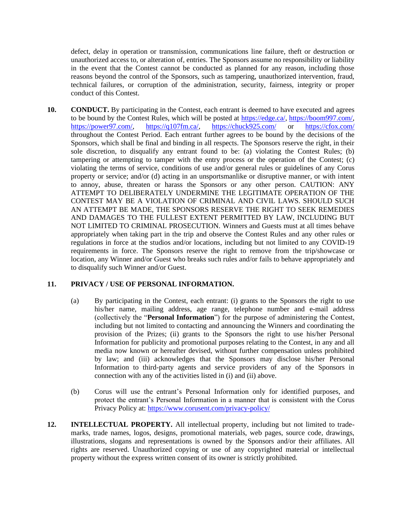defect, delay in operation or transmission, communications line failure, theft or destruction or unauthorized access to, or alteration of, entries. The Sponsors assume no responsibility or liability in the event that the Contest cannot be conducted as planned for any reason, including those reasons beyond the control of the Sponsors, such as tampering, unauthorized intervention, fraud, technical failures, or corruption of the administration, security, fairness, integrity or proper conduct of this Contest.

**10. CONDUCT.** By participating in the Contest, each entrant is deemed to have executed and agrees to be bound by the Contest Rules, which will be posted at [https://edge.ca/,](https://edge.ca/) [https://boom997.com/,](https://boom997.com/) [https://power97.com/,](https://power97.com/) [https://q107fm.ca/,](https://q107fm.ca/) <https://chuck925.com/> or <https://cfox.com/> throughout the Contest Period. Each entrant further agrees to be bound by the decisions of the Sponsors, which shall be final and binding in all respects. The Sponsors reserve the right, in their sole discretion, to disqualify any entrant found to be: (a) violating the Contest Rules; (b) tampering or attempting to tamper with the entry process or the operation of the Contest; (c) violating the terms of service, conditions of use and/or general rules or guidelines of any Corus property or service; and/or (d) acting in an unsportsmanlike or disruptive manner, or with intent to annoy, abuse, threaten or harass the Sponsors or any other person. CAUTION: ANY ATTEMPT TO DELIBERATELY UNDERMINE THE LEGITIMATE OPERATION OF THE CONTEST MAY BE A VIOLATION OF CRIMINAL AND CIVIL LAWS. SHOULD SUCH AN ATTEMPT BE MADE, THE SPONSORS RESERVE THE RIGHT TO SEEK REMEDIES AND DAMAGES TO THE FULLEST EXTENT PERMITTED BY LAW, INCLUDING BUT NOT LIMITED TO CRIMINAL PROSECUTION. Winners and Guests must at all times behave appropriately when taking part in the trip and observe the Contest Rules and any other rules or regulations in force at the studios and/or locations, including but not limited to any COVID-19 requirements in force. The Sponsors reserve the right to remove from the trip/showcase or location, any Winner and/or Guest who breaks such rules and/or fails to behave appropriately and to disqualify such Winner and/or Guest.

# **11. PRIVACY / USE OF PERSONAL INFORMATION.**

- (a) By participating in the Contest, each entrant: (i) grants to the Sponsors the right to use his/her name, mailing address, age range, telephone number and e-mail address (collectively the "**Personal Information**") for the purpose of administering the Contest, including but not limited to contacting and announcing the Winners and coordinating the provision of the Prizes; (ii) grants to the Sponsors the right to use his/her Personal Information for publicity and promotional purposes relating to the Contest, in any and all media now known or hereafter devised, without further compensation unless prohibited by law; and (iii) acknowledges that the Sponsors may disclose his/her Personal Information to third-party agents and service providers of any of the Sponsors in connection with any of the activities listed in (i) and (ii) above.
- (b) Corus will use the entrant's Personal Information only for identified purposes, and protect the entrant's Personal Information in a manner that is consistent with the Corus Privacy Policy at: <https://www.corusent.com/privacy-policy/>
- **12. INTELLECTUAL PROPERTY.** All intellectual property, including but not limited to trademarks, trade names, logos, designs, promotional materials, web pages, source code, drawings, illustrations, slogans and representations is owned by the Sponsors and/or their affiliates. All rights are reserved. Unauthorized copying or use of any copyrighted material or intellectual property without the express written consent of its owner is strictly prohibited.